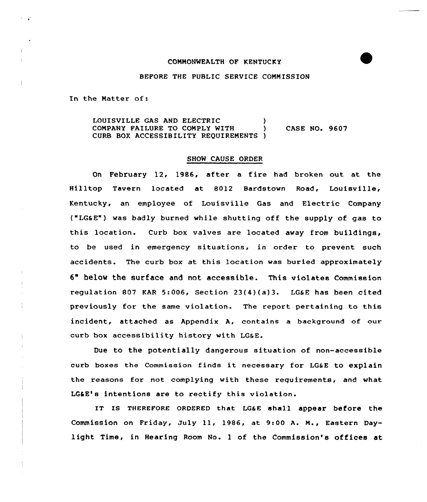# COMMONWEALTH OF KENTUCKY



## BEFORE THE PUBLIC SERVICE COMMISSION

In the Matter of:

LOUISVILLE GAS AND ELECTRIC COMPANY FAILURE TO COMPLY WITH CURB BOX ACCESSIBILITY REQUIREMENTS ) CASE NO. 9607

#### SHOW CAUSE ORDER

On February 12, 1986, after a fire had broken out at the Hilltop Tavern located at 8012 Bardstown Road, Louisville, Kentucky, an employee of Louisville Gas and Electric Company ("LGSE") was badly burned while shutting off the supply of ges to this location. Curb box valves are located away from buildings, to be used in emergency situations, in order to prevent such accidents. The curb box at this location was buried approximately 6" below the surface and not accessible. This violates Commission requlation 807 KAR 5:006, Section  $23(4)(a)3$ . LG&E has been cited previously for the same violation. The report pertaining to this incident, attached as Appendix A, contains a background of our curb box accessibility history with LG&E.

Due to the potentially dangerous situation of non-accessible curb boxes the Commission finds it necessary for LG6E to explain the reasons for not complying with these requirements, and what LG&E's intentions are to rectify this violation.

IT Is THEREFoRE QRDERED that LGaE shall appear before the Commission on Friday, July ll, 1986, at 9:00 A. M., Eastern Daylight Time, in Hearing Room No. 1 of the Commission's offices at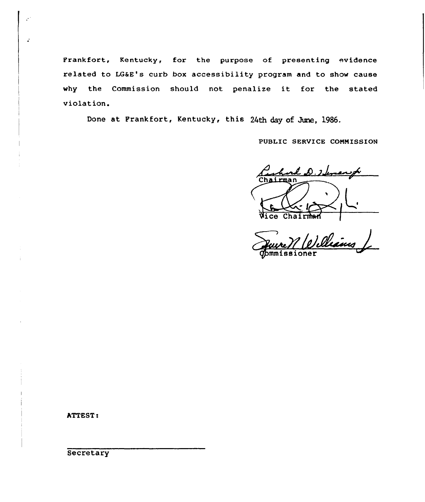Frankfort, Kentucky, for the purpose of presenting evidence related to LG&E's curb box accessibility program and to show cause why the Commission should not penalize it for the stated violation.

Done at Frankfort, Kentucky, this 24th day of June, 1986.

PUBLIC SERVICE COMMISSION

ard D. Thomas f. rman  $\overline{\texttt{Wice}}$ 

Veure VI (e) cllesins

ATTEST <sup>s</sup>

 $\mathbb{R}^3$ 

 $\hat{\boldsymbol{\epsilon}}$ 

**Secretary**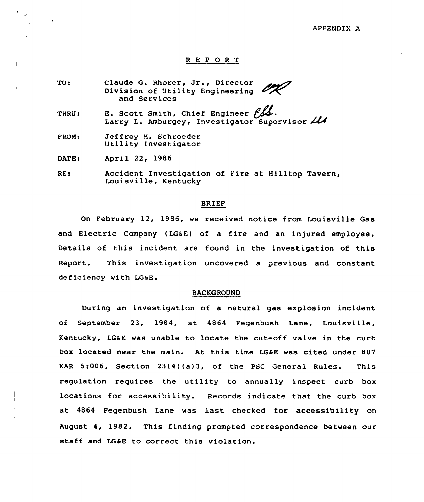#### APPENDIX A

# R E P 0 R T

TO: Claude G. Rhorer, Jr., Director Division of Utility Engineering and Services

THRU: E. Scott Smith, Chief Engineer  $\beta$ Larry L. Amburgey, Investigator Supervisor  $21$ 

<sup>F</sup>ROM: Jeffrey M. Schroeder Utility Investigator

DATE: April 22, 1986

RE: Accident Investigation of Fire at Hilltop Tavern, Louisville, Kentucky

#### BRIEF

On February 12, 1986, we received notice from Louisville Gas and Electric Company (LG6E) of a fire and an injured employee. Details of this incident are found in the investigation of this Report. This investigation uncovered a previous and constant deficiency with LGsE.

#### BACKGROUND

During an investigation of a natural gas explosion incident of September 23, 1984, at 4864 Fegenbush Lane, Louisville, Kentucky, LG&E was unable to locate the cut-off valve in the curb box located near the main. At this time LG4E was cited under 807 KAR 5:006, Section 23(4)(a)3, of the PSC General Rules. This regulation requires the utility to annually inspect curb box locations for accessibility. Records indicate that the curb box at 4864 Fegenbush Lane was last checked for accessibility on August. 4, 1982. This finding prompted correspondence between our staff and LG&E to correct this violation.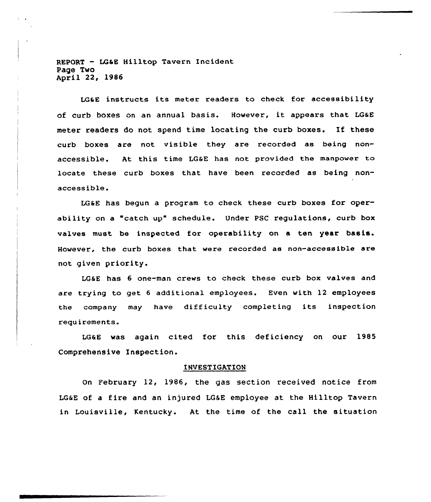REPORT — LG&E Hilltop Tavern Incident Page Two April 22, 1986

 $\mathbf{r}=\mathbf{r}$ 

LG&E instructs its meter readers to check for accessibility of curb boxes on an annual basis. However, it appears that LG&E meter readers do not spend time locating the curb boxes, If these curb boxes are not visible they are recorded as being nonaccessible. At this time LG&E has not provided the manpower to locate these curb boxes that have been recorded as being non $accessible.$ 

LG&E has begun a program to check these curb boxes for operability on a "catch up" schedule. Under PSC regulations, curb box valves must be inspected for operability on a ten year basis. However, the curb boxes that were recorded as non-accessible are not given priority.

LG&E has 6 one-man crews to check these curb box valves and are trying to get <sup>6</sup> additional employees. Even with 12 employees the company may have difficulty completing its inspection requirements.

LG&E was again cited for this deficiency on our 1985 Comprehensive Inspection.

## INVESTIGATION

on February 12, 1986, the gas section received notice from LG&E of a fire and an injured LG&E employee at the Hilltop Tavern in Louisville, Kentucky. At the time of the call the situation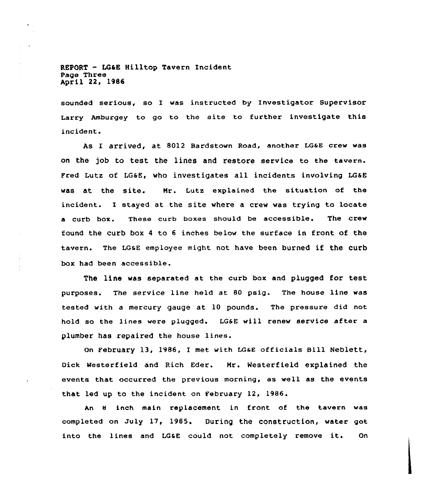REPORT - LG&E Hilltop Tavern Incident Page Three April 22, 1986

sounded serious, so I was instructed by Investigator Supervisor Larry Amburgey to go to the site to further investigate this incident.

As I arrived, at 8012 Bardstown Road, another LG&E crew was on the job to test the lines and restore service to the tavern. Fred Lutz of LG&E, who investigates all incidents involving LG&E was at the site. Mr. Lutz explained the situation of the incident. I stayed at the site where a crew was trying to locate a curb box. These curb boxes should be accessible. The crew found the curb box <sup>4</sup> to <sup>6</sup> inches below the surface in front of the tavern. The LGaE employee might not have been burned if the curb box had been accessible.

The line was separated at the curb box and plugged for test purposes. The service line held at 80 psig. The house line was tested with a mercury gauge at 10 pounds. The pressure did not hold so the lines were plugged. LG&E will renew service after a plumber has repaired the house lines.

On February 13, 1986, I met with LGaE officials Bill Neblett, Dick Westerfield and Rich Eder. Mr. Westerfield explained the events that occurred the previous morning, as well as the events that led up to the incident on February 12, 1986.

An 8 inch main replacement in front of the tavern was completed on July 17, 1985. During the construction, water got into the lines and LG&E could not completely remove it. On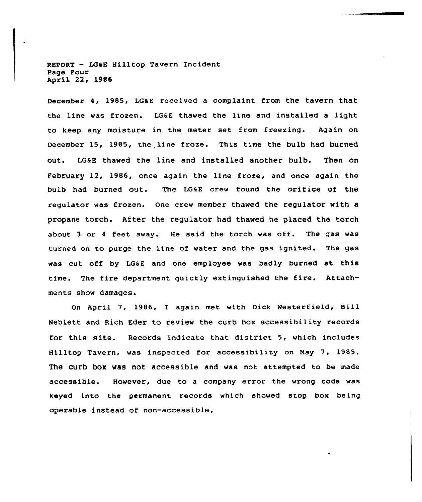REPORT - LG&E Hilltop Tavern Incident Page Four April 22, 1986

December 4, 1985, LGaE received a complaint from the tavern that the line was frozen. LGaE thawed the line and installed a light to keep any moisture in the meter set from freezing. Again on December 15, 1985, the line froze. This time the bulb had burned out. LG6E thawed the line and installed another bulb. Then on February 12, 19B6, once again the line froze, and once again the bulb had buxned out. The LGaE crew found the orifice of the regulator was frozen. One cxew member thawed the xegulator with a propane torch. After the xegulator had thawed he placed the torch about <sup>3</sup> ox <sup>4</sup> feet away. He said the torch was off. The gas was turned on to purge the line of water and the gas ignited. The gas was cut off by LG6E and one employee was badly burned at this time. The fire department quickly extinguished the fire. Attachments show damages.

On April 7, 1986, I again met with Dick Westerfield, Bill Neblett and Rich Eder to review the curb box accessibility records for this site. Records indicate that district 5, which includes Hilltop Tavern, was inspected for accessibility on May 7, 1985. The curb box was not accessible and was not attempted to be made accessible. However, due to a company error the wrong code was keyed into the permanent records which showed stop box being opexable instead of non-accessible.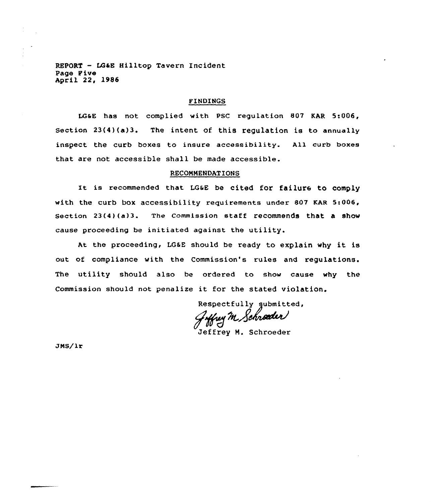REPORT — LG&E Hilltop Tavern Incident Page Pive April 22, 1986

# FINDINGS

LG&E has not complied with PSC regulation 807 KAR 5:006, Section 23(4)(a)3. The intent of. this regulation is to annually inspect the curb boxes to insure accessibility. All curb boxes that are not accessible shall be made accessible.

# RECONMENDATIONS

It is recommended that LG&E be cited for failure to comply with the curb box accessibility requirements under 807 KAR 5:006, Section 23(4)(a)3. The Commission staff recommends that a show cause proceeding be initiated against the utility.

At the proceeding, LG&E should be ready to explain why it is out of compliance with the Commission's rules and regulations. The utility should also be ordered to show cause why the Commission should not penalize it for the stated violation.

Respectfully submitted,<br>Juffuy M. Schroder

Jeffrey M. Schroeder

JNS/1r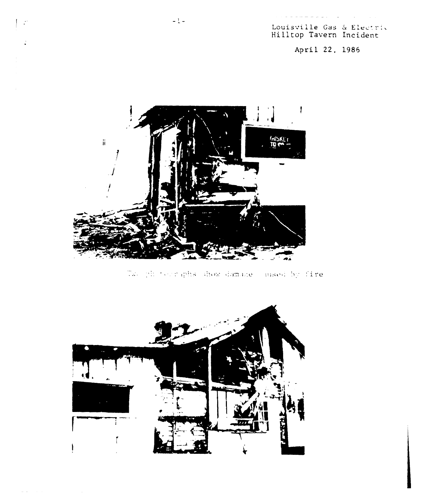Louisville Gas & Electric<br>Hilltop Tavern Incident

 $\mathcal{L}^{\mathcal{L}}\mathcal{L}^{\mathcal{L}}=\mathcal{L}^{\mathcal{L}}\mathcal{L}^{\mathcal{L}}\mathcal{L}^{\mathcal{L}}\mathcal{L}^{\mathcal{L}}\mathcal{L}^{\mathcal{L}}\mathcal{L}^{\mathcal{L}}\mathcal{L}^{\mathcal{L}}\mathcal{L}^{\mathcal{L}}\mathcal{L}^{\mathcal{L}}\mathcal{L}^{\mathcal{L}}\mathcal{L}^{\mathcal{L}}\mathcal{L}^{\mathcal{L}}\mathcal{L}^{\mathcal{L}}\mathcal{L}^{\mathcal{L}}\mathcal{L}^{\mathcal{L$ 

April 22, 1986



Two photographs show damage (sused by fire



 $\mathbb{R}^n$ 

 $\ddot{\cdot}$ 

 $\mathcal{L}^{\mathcal{L}}$  is the contract of the contract of  $\mathcal{L}^{\mathcal{L}}$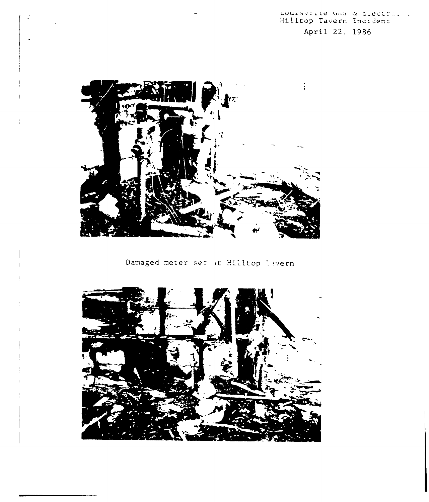# Louisville Gas & Electric )<br>Hilltop Tavern Incident April 22, 1986



Damaged meter set at Hilltop Tavern

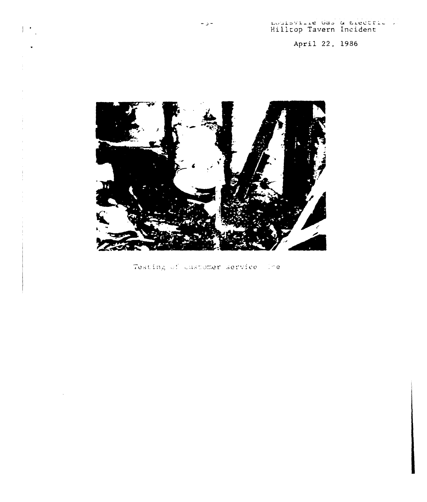April 22, 1986



 $\omega$   $\omega$   $\omega$ 

 $\|$   $\cdot$ 

Testing of customer service. The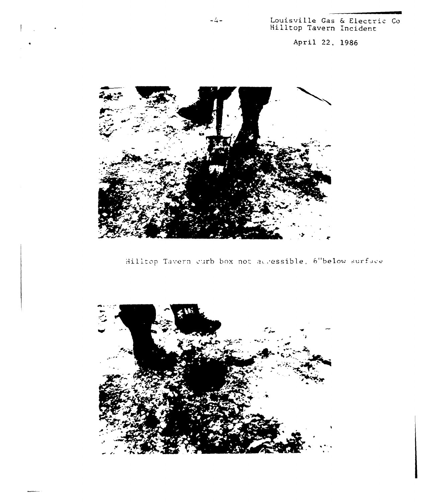Louisville Gas & Electric Co<br>Hilltop Tavern Incident

April 22, 1986



Hilltop Tavern curb box not accessible, 6"below surface